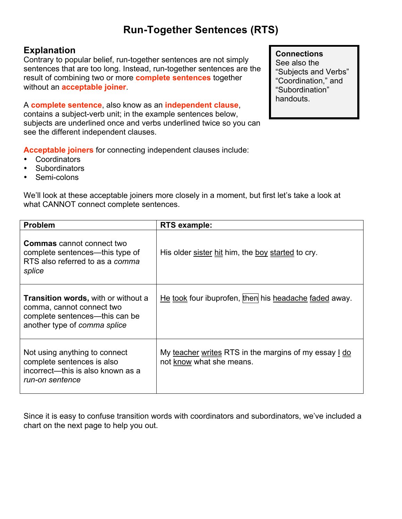# **Run-Together Sentences (RTS)**

## **Explanation**

Contrary to popular belief, run-together sentences are not simply sentences that are too long. Instead, run-together sentences are the result of combining two or more **complete sentences** together without an **acceptable joiner**.

A **complete sentence**, also know as an **independent clause**, contains a subject-verb unit; in the example sentences below, subjects are underlined once and verbs underlined twice so you can see the different independent clauses.

**Acceptable joiners** for connecting independent clauses include:

- Coordinators
- Subordinators
- Semi-colons

We'll look at these acceptable joiners more closely in a moment, but first let's take a look at what CANNOT connect complete sentences.

| <b>Problem</b>                                                                                                                            | RTS example:                                                                      |
|-------------------------------------------------------------------------------------------------------------------------------------------|-----------------------------------------------------------------------------------|
| <b>Commas</b> cannot connect two<br>complete sentences—this type of<br>RTS also referred to as a comma<br>splice                          | His older sister hit him, the boy started to cry.                                 |
| <b>Transition words, with or without a</b><br>comma, cannot connect two<br>complete sentences—this can be<br>another type of comma splice | He took four ibuprofen, then his headache faded away.                             |
| Not using anything to connect<br>complete sentences is also<br>incorrect—this is also known as a<br>run-on sentence                       | My teacher writes RTS in the margins of my essay 1 do<br>not know what she means. |

Since it is easy to confuse transition words with coordinators and subordinators, we've included a chart on the next page to help you out.

### **Connections**

See also the "Subjects and Verbs" "Coordination," and "Subordination" handouts.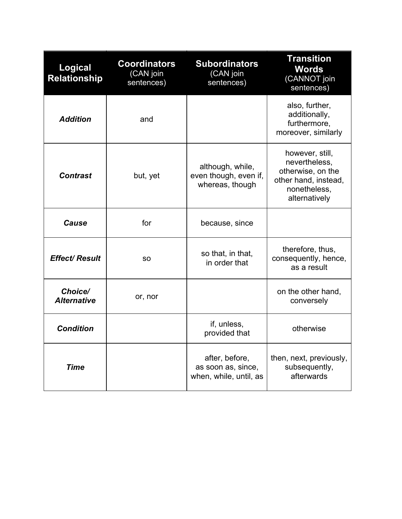| <b>Logical</b><br><b>Relationship</b> | <b>Coordinators</b><br>(CAN join<br>sentences) | <b>Subordinators</b><br>(CAN join<br>sentences)                | <b>Transition</b><br><b>Words</b><br>(CANNOT join<br>sentences)                                                |
|---------------------------------------|------------------------------------------------|----------------------------------------------------------------|----------------------------------------------------------------------------------------------------------------|
| <b>Addition</b>                       | and                                            |                                                                | also, further,<br>additionally,<br>furthermore,<br>moreover, similarly                                         |
| <b>Contrast</b>                       | but, yet                                       | although, while,<br>even though, even if,<br>whereas, though   | however, still,<br>nevertheless,<br>otherwise, on the<br>other hand, instead,<br>nonetheless,<br>alternatively |
| Cause                                 | for                                            | because, since                                                 |                                                                                                                |
| <b>Effect/ Result</b>                 | SO.                                            | so that, in that,<br>in order that                             | therefore, thus,<br>consequently, hence,<br>as a result                                                        |
| Choice/<br><b>Alternative</b>         | or, nor                                        |                                                                | on the other hand,<br>conversely                                                                               |
| <b>Condition</b>                      |                                                | if, unless,<br>provided that                                   | otherwise                                                                                                      |
| <b>Time</b>                           |                                                | after, before,<br>as soon as, since,<br>when, while, until, as | then, next, previously,<br>subsequently,<br>afterwards                                                         |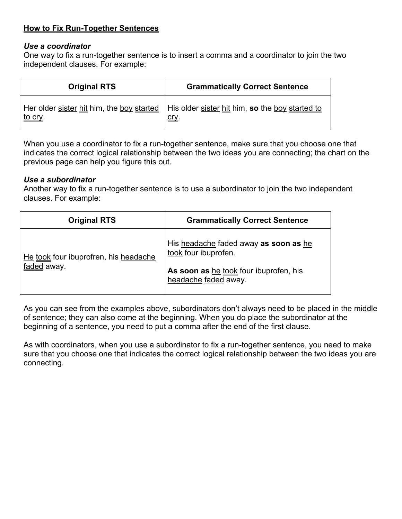### **How to Fix Run-Together Sentences**

#### *Use a coordinator*

One way to fix a run-together sentence is to insert a comma and a coordinator to join the two independent clauses. For example:

| <b>Original RTS</b> | <b>Grammatically Correct Sentence</b>                                                                       |
|---------------------|-------------------------------------------------------------------------------------------------------------|
| <u>to cry</u> .     | Her older sister hit him, the boy started   His older sister hit him, so the boy started to<br><u>cry</u> . |

When you use a coordinator to fix a run-together sentence, make sure that you choose one that indicates the correct logical relationship between the two ideas you are connecting; the chart on the previous page can help you figure this out.

#### *Use a subordinator*

Another way to fix a run-together sentence is to use a subordinator to join the two independent clauses. For example:

| <b>Original RTS</b>                                  | <b>Grammatically Correct Sentence</b>                                                                                           |
|------------------------------------------------------|---------------------------------------------------------------------------------------------------------------------------------|
| He took four ibuprofren, his headache<br>faded away. | His headache faded away as soon as he<br>took four ibuprofen.<br>As soon as he took four ibuprofen, his<br>headache faded away. |

As you can see from the examples above, subordinators don't always need to be placed in the middle of sentence; they can also come at the beginning. When you do place the subordinator at the beginning of a sentence, you need to put a comma after the end of the first clause.

As with coordinators, when you use a subordinator to fix a run-together sentence, you need to make sure that you choose one that indicates the correct logical relationship between the two ideas you are connecting.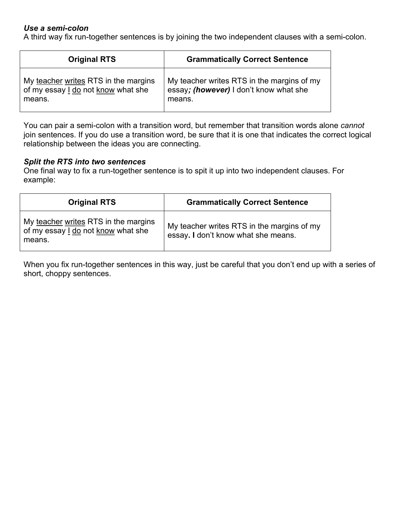### *Use a semi-colon*

A third way fix run-together sentences is by joining the two independent clauses with a semi-colon.

| <b>Original RTS</b>                  | <b>Grammatically Correct Sentence</b>      |
|--------------------------------------|--------------------------------------------|
| My teacher writes RTS in the margins | My teacher writes RTS in the margins of my |
| of my essay I do not know what she   | essay; (however) I don't know what she     |
| means.                               | means.                                     |

You can pair a semi-colon with a transition word, but remember that transition words alone *cannot* join sentences. If you do use a transition word, be sure that it is one that indicates the correct logical relationship between the ideas you are connecting.

#### *Split the RTS into two sentences*

One final way to fix a run-together sentence is to spit it up into two independent clauses. For example:

| <b>Original RTS</b>                                                                  | <b>Grammatically Correct Sentence</b>                                             |
|--------------------------------------------------------------------------------------|-----------------------------------------------------------------------------------|
| My teacher writes RTS in the margins<br>of my essay I do not know what she<br>means. | My teacher writes RTS in the margins of my<br>essay. I don't know what she means. |

When you fix run-together sentences in this way, just be careful that you don't end up with a series of short, choppy sentences.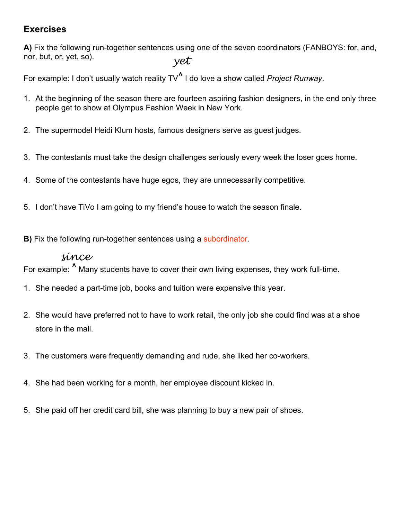# **Exercises**

*yet*  **A)** Fix the following run-together sentences using one of the seven coordinators (FANBOYS: for, and, nor, but, or, yet, so).

For example: I don't usually watch reality TV<sup>∧</sup> I do love a show called *Project Runway*.

- 1. At the beginning of the season there are fourteen aspiring fashion designers, in the end only three people get to show at Olympus Fashion Week in New York.
- 2. The supermodel Heidi Klum hosts, famous designers serve as guest judges.
- 3. The contestants must take the design challenges seriously every week the loser goes home.
- 4. Some of the contestants have huge egos, they are unnecessarily competitive.
- 5. I don't have TiVo I am going to my friend's house to watch the season finale.
- **B)** Fix the following run-together sentences using a subordinator.

# *since*

For example:  $\textsuperscript{\textdegree}$  Many students have to cover their own living expenses, they work full-time.

- 1. She needed a part-time job, books and tuition were expensive this year.
- 2. She would have preferred not to have to work retail, the only job she could find was at a shoe store in the mall.
- 3. The customers were frequently demanding and rude, she liked her co-workers.
- 4. She had been working for a month, her employee discount kicked in.
- 5. She paid off her credit card bill, she was planning to buy a new pair of shoes.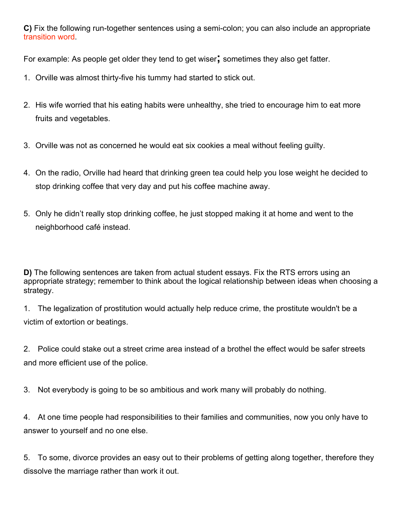**C)** Fix the following run-together sentences using a semi-colon; you can also include an appropriate transition word.

For example: As people get older they tend to get wiser**;** sometimes they also get fatter.

- 1. Orville was almost thirty-five his tummy had started to stick out.
- 2. His wife worried that his eating habits were unhealthy, she tried to encourage him to eat more fruits and vegetables.
- 3. Orville was not as concerned he would eat six cookies a meal without feeling guilty.
- 4. On the radio, Orville had heard that drinking green tea could help you lose weight he decided to stop drinking coffee that very day and put his coffee machine away.
- 5. Only he didn't really stop drinking coffee, he just stopped making it at home and went to the neighborhood café instead.

**D)** The following sentences are taken from actual student essays. Fix the RTS errors using an appropriate strategy; remember to think about the logical relationship between ideas when choosing a strategy.

1. The legalization of prostitution would actually help reduce crime, the prostitute wouldn't be a victim of extortion or beatings.

2. Police could stake out a street crime area instead of a brothel the effect would be safer streets and more efficient use of the police.

3. Not everybody is going to be so ambitious and work many will probably do nothing.

4. At one time people had responsibilities to their families and communities, now you only have to answer to yourself and no one else.

5. To some, divorce provides an easy out to their problems of getting along together, therefore they dissolve the marriage rather than work it out.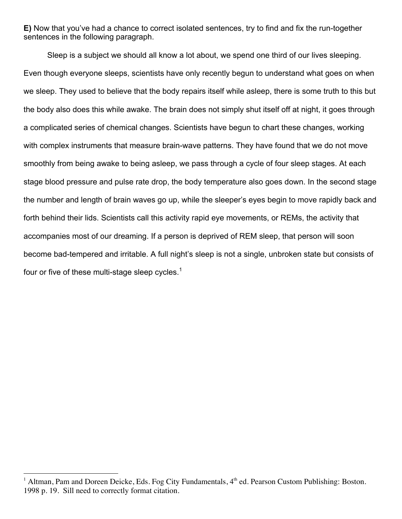**E)** Now that you've had a chance to correct isolated sentences, try to find and fix the run-together sentences in the following paragraph.

Sleep is a subject we should all know a lot about, we spend one third of our lives sleeping. Even though everyone sleeps, scientists have only recently begun to understand what goes on when we sleep. They used to believe that the body repairs itself while asleep, there is some truth to this but the body also does this while awake. The brain does not simply shut itself off at night, it goes through a complicated series of chemical changes. Scientists have begun to chart these changes, working with complex instruments that measure brain-wave patterns. They have found that we do not move smoothly from being awake to being asleep, we pass through a cycle of four sleep stages. At each stage blood pressure and pulse rate drop, the body temperature also goes down. In the second stage the number and length of brain waves go up, while the sleeper's eyes begin to move rapidly back and forth behind their lids. Scientists call this activity rapid eye movements, or REMs, the activity that accompanies most of our dreaming. If a person is deprived of REM sleep, that person will soon become bad-tempered and irritable. A full night's sleep is not a single, unbroken state but consists of four or five of these multi-stage sleep cycles. $<sup>1</sup>$ </sup>

<sup>|&</sup>lt;br>|<br>| <sup>1</sup> Altman, Pam and Doreen Deicke, Eds. Fog City Fundamentals,  $4<sup>th</sup>$  ed. Pearson Custom Publishing: Boston. 1998 p. 19. Sill need to correctly format citation.